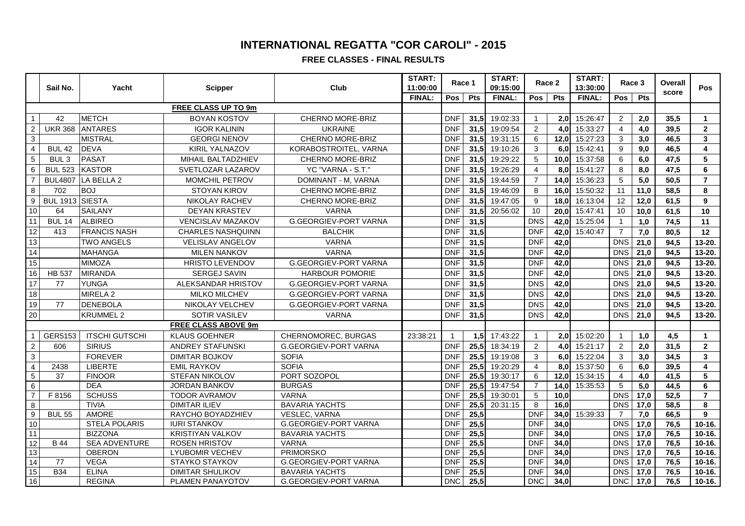**FREE CLASSES - FINAL RESULTS**

|                            |                  |                       |                            |                              | START:        | Race 1     |      | START:        | Race 2         |                  |               |                | START: |                  | Race 3                  |  |  |
|----------------------------|------------------|-----------------------|----------------------------|------------------------------|---------------|------------|------|---------------|----------------|------------------|---------------|----------------|--------|------------------|-------------------------|--|--|
|                            | Sail No.         | Yacht                 | <b>Scipper</b>             | Club                         | 11:00:00      |            |      | 09:15:00      |                |                  | 13:30:00      |                |        | Overall<br>score | Pos                     |  |  |
|                            |                  |                       |                            |                              | <b>FINAL:</b> | <b>Pos</b> | Pts  | <b>FINAL:</b> | Pos            | Pts              | <b>FINAL:</b> | Pos            | Pts    |                  |                         |  |  |
| <b>FREE CLASS UP TO 9m</b> |                  |                       |                            |                              |               |            |      |               |                |                  |               |                |        |                  |                         |  |  |
| $\mathbf{1}$               | 42               | <b>METCH</b>          | <b>BOYAN KOSTOV</b>        | CHERNO MORE-BRIZ             |               | <b>DNF</b> | 31,5 | 19:02:33      |                |                  | 2,0 15:26:47  | $\overline{2}$ | 2,0    | 35,5             | $\mathbf 1$             |  |  |
| $\overline{2}$             | <b>UKR 368</b>   | <b>ANTARES</b>        | <b>IGOR KALININ</b>        | <b>UKRAINE</b>               |               | <b>DNF</b> | 31,5 | 19:09:54      | 2              | 4.0              | 15:33:27      | $\overline{4}$ | 4,0    | 39,5             | $\mathbf{2}$            |  |  |
| 3                          |                  | <b>MISTRAL</b>        | <b>GEORGI NENOV</b>        | CHERNO MORE-BRIZ             |               | <b>DNF</b> | 31,5 | 19:31:15      | 6              | 12,0             | 15:27:23      | 3              | 3,0    | 46,5             | 3                       |  |  |
| $\overline{\mathbf{4}}$    | <b>BUL 42</b>    | <b>DEVA</b>           | KIRIL YALNAZOV             | KORABOSTROITEL, VARNA        |               | <b>DNF</b> | 31.5 | 19:10:26      | 3              | 6.0I             | 15:42:41      | 9              | 9,0    | 46,5             | $\overline{\mathbf{4}}$ |  |  |
| $\overline{5}$             | BUL <sub>3</sub> | <b>PASAT</b>          | MIHAIL BALTADZHIEV         | CHERNO MORE-BRIZ             |               | <b>DNF</b> | 31,5 | 19:29:22      | 5              | 10.0             | 15:37:58      | 6              | 6,0    | 47,5             | 5                       |  |  |
| $6\phantom{a}$             | <b>BUL 523</b>   | <b>KASTOR</b>         | SVETLOZAR LAZAROV          | YC "VARNA - S.T."            |               | <b>DNF</b> | 31,5 | 19:26:29      | $\overline{4}$ | 8.0 <sub>l</sub> | 15:41:27      | 8              | 8,0    | 47,5             | 6                       |  |  |
| $\overline{7}$             | <b>BUL4807</b>   | LA BELLA 2            | MOMCHIL PETROV             | DOMINANT - M, VARNA          |               | <b>DNF</b> | 31,5 | 19:44:59      | $\overline{7}$ | 14,0             | 15:36:23      | 5              | 5,0    | 50,5             | $\overline{7}$          |  |  |
| 8                          | 702              | <b>BOJ</b>            | STOYAN KIROV               | <b>CHERNO MORE-BRIZ</b>      |               | <b>DNF</b> | 31,5 | 19:46:09      | 8              | 16,0             | 15:50:32      | 11             | 11,0   | 58,5             | 8                       |  |  |
| $\boldsymbol{9}$           | BUL 1913 SIESTA  |                       | NIKOLAY RACHEV             | CHERNO MORE-BRIZ             |               | <b>DNF</b> | 31.5 | 19:47:05      | 9              | 18.0             | 16:13:04      | 12             | 12,0   | 61,5             | 9                       |  |  |
| 10                         | 64               | <b>SAILANY</b>        | DEYAN KRASTEV              | <b>VARNA</b>                 |               | <b>DNF</b> | 31,5 | 20:56:02      | 10             | 20,0             | 15:47:41      | 10             | 10,0   | 61,5             | 10                      |  |  |
| 11                         | <b>BUL 14</b>    | <b>ALBIREO</b>        | VENCISLAV MAZAKOV          | <b>G.GEORGIEV-PORT VARNA</b> |               | <b>DNF</b> | 31,5 |               | <b>DNS</b>     | 42,0             | 15:25:04      | $\mathbf{1}$   | 1,0    | 74,5             | 11                      |  |  |
| 12                         | 413              | <b>FRANCIS NASH</b>   | <b>CHARLES NASHQUINN</b>   | <b>BALCHIK</b>               |               | <b>DNF</b> | 31,5 |               | <b>DNF</b>     | 42,0             | 15:40:47      | $\overline{7}$ | 7,0    | 80,5             | 12                      |  |  |
| 13                         |                  | <b>TWO ANGELS</b>     | <b>VELISLAV ANGELOV</b>    | <b>VARNA</b>                 |               | <b>DNF</b> | 31,5 |               | <b>DNF</b>     | 42,0             |               | <b>DNS</b>     | 21,0   | 94,5             | 13-20.                  |  |  |
| 14                         |                  | <b>MAHANGA</b>        | <b>MILEN NANKOV</b>        | <b>VARNA</b>                 |               | <b>DNF</b> | 31,5 |               | <b>DNF</b>     | 42,0             |               | <b>DNS</b>     | 21,0   | 94,5             | 13-20.                  |  |  |
| 15                         |                  | <b>MIMOZA</b>         | <b>HRISTO LEVENDOV</b>     | <b>G.GEORGIEV-PORT VARNA</b> |               | <b>DNF</b> | 31,5 |               | <b>DNF</b>     | 42,0             |               | <b>DNS</b>     | 21,0   | 94,5             | 13-20.                  |  |  |
| 16                         | <b>HB 537</b>    | <b>MIRANDA</b>        | SERGEJ SAVIN               | <b>HARBOUR POMORIE</b>       |               | <b>DNF</b> | 31,5 |               | <b>DNF</b>     | 42,0             |               | <b>DNS</b>     | 21,0   | 94,5             | 13-20.                  |  |  |
| 17                         | 77               | <b>YUNGA</b>          | ALEKSANDAR HRISTOV         | <b>G.GEORGIEV-PORT VARNA</b> |               | <b>DNF</b> | 31,5 |               | <b>DNS</b>     | 42,0             |               | <b>DNS</b>     | 21,0   | 94,5             | 13-20.                  |  |  |
| 18                         |                  | MIRELA 2              | <b>MILKO MILCHEV</b>       | <b>G.GEORGIEV-PORT VARNA</b> |               | <b>DNF</b> | 31,5 |               | <b>DNS</b>     | 42,0             |               | <b>DNS</b>     | 21,0   | 94,5             | 13-20.                  |  |  |
| 19                         | 77               | <b>DENEBOLA</b>       | NIKOLAY VELCHEV            | G.GEORGIEV-PORT VARNA        |               | <b>DNF</b> | 31,5 |               | <b>DNS</b>     | 42,0             |               | <b>DNS</b>     | 21,0   | 94,5             | 13-20.                  |  |  |
| 20                         |                  | <b>KRUMMEL 2</b>      | <b>SOTIR VASILEV</b>       | <b>VARNA</b>                 |               | <b>DNF</b> | 31,5 |               | <b>DNS</b>     | 42,0             |               | <b>DNS</b>     | 21,0   | 94.5             | 13-20.                  |  |  |
|                            |                  |                       | <b>FREE CLASS ABOVE 9m</b> |                              |               |            |      |               |                |                  |               |                |        |                  |                         |  |  |
| $\mathbf{1}$               | GER5153          | <b>ITSCHI GUTSCHI</b> | <b>KLAUS GOEHNER</b>       | CHERNOMOREC, BURGAS          | 23:38:21      |            | 1,5  | 17:43:22      |                |                  | 2,0 15:02:20  | $\mathbf{1}$   | 1,0    | 4,5              | $\mathbf{1}$            |  |  |
| $\sqrt{2}$                 | 606              | <b>SIRIUS</b>         | ANDREY STAFUNSKI           | <b>G.GEORGIEV-PORT VARNA</b> |               | <b>DNF</b> | 25,5 | 18:34:19      | $\overline{2}$ | 4.0I             | 15:21:17      | 2              | 2,0    | 31,5             | $\overline{2}$          |  |  |
| $\overline{3}$             |                  | <b>FOREVER</b>        | <b>DIMITAR BOJKOV</b>      | <b>SOFIA</b>                 |               | <b>DNF</b> | 25,5 | 19:19:08      | 3              | 6,0              | 15:22:04      | 3              | 3,0    | 34,5             | $\overline{3}$          |  |  |
| $\overline{\mathbf{4}}$    | 2438             | <b>LIBERTE</b>        | <b>EMIL RAYKOV</b>         | <b>SOFIA</b>                 |               | <b>DNF</b> | 25,5 | 19:20:29      | $\overline{4}$ |                  | 8.0 15:37:50  | 6              | 6,0    | 39,5             | 4                       |  |  |
| $\overline{5}$             | 37               | <b>FINOOR</b>         | <b>STEFAN NIKOLOV</b>      | PORT SOZOPOL                 |               | <b>DNF</b> | 25.5 | 19:30:17      | 6              | 12.0             | 15:34:15      | $\overline{4}$ | 4,0    | 41,5             | 5                       |  |  |
| $6\phantom{1}$             |                  | <b>DEA</b>            | JORDAN BANKOV              | <b>BURGAS</b>                |               | <b>DNF</b> | 25,5 | 19:47:54      | 7              | 14,0             | 15:35:53      | 5              | 5,0    | 44,5             | 6                       |  |  |
| $\overline{7}$             | F 8156           | <b>SCHUSS</b>         | <b>TODOR AVRAMOV</b>       | <b>VARNA</b>                 |               | <b>DNF</b> | 25,5 | 19:30:01      | 5              | 10,0             |               | <b>DNS</b>     | 17,0   | 52,5             | $\overline{7}$          |  |  |
| 8                          |                  | <b>TIVIA</b>          | <b>DIMITAR ILIEV</b>       | <b>BAVARIA YACHTS</b>        |               | <b>DNF</b> | 25,5 | 20:31:15      | 8              | 16,0             |               | <b>DNS</b>     | 17,0   | 58,5             | 8                       |  |  |
| $\overline{9}$             | <b>BUL 55</b>    | AMORE                 | RAYCHO BOYADZHIEV          | VESLEC, VARNA                |               | <b>DNF</b> | 25,5 |               | <b>DNF</b>     | 34,0             | 15:39:33      | $\overline{7}$ | 7,0    | 66,5             | 9                       |  |  |
| 10                         |                  | <b>STELA POLARIS</b>  | <b>IURI STANKOV</b>        | G.GEORGIEV-PORT VARNA        |               | <b>DNF</b> | 25,5 |               | <b>DNF</b>     | 34,0             |               | <b>DNS</b>     | 17,0   | 76,5             | 10-16.                  |  |  |
| 11                         |                  | <b>BIZZONA</b>        | <b>KRISTIYAN VALKOV</b>    | <b>BAVARIA YACHTS</b>        |               | <b>DNF</b> | 25,5 |               | <b>DNF</b>     | 34,0             |               | <b>DNS</b>     | 17,0   | 76,5             | 10-16.                  |  |  |
| 12                         | <b>B</b> 44      | <b>SEA ADVENTURE</b>  | <b>ROSEN HRISTOV</b>       | <b>VARNA</b>                 |               | <b>DNF</b> | 25,5 |               | <b>DNF</b>     | 34,0             |               | <b>DNS</b>     | 17,0   | 76,5             | 10-16.                  |  |  |
| 13                         |                  | <b>OBERON</b>         | LYUBOMIR VECHEV            | <b>PRIMORSKO</b>             |               | <b>DNF</b> | 25,5 |               | <b>DNF</b>     | 34,0             |               | <b>DNS</b>     | 17,0   | 76,5             | $10 - 16.$              |  |  |
| 14                         | 77               | <b>VEGA</b>           | STAYKO STAYKOV             | <b>G.GEORGIEV-PORT VARNA</b> |               | <b>DNF</b> | 25,5 |               | <b>DNF</b>     | 34,0             |               | <b>DNS</b>     | 17,0   | 76,5             | 10-16.                  |  |  |
| 15                         | <b>B34</b>       | <b>ELINA</b>          | <b>DIMITAR SHULIKOV</b>    | <b>BAVARIA YACHTS</b>        |               | <b>DNF</b> | 25,5 |               | <b>DNF</b>     | 34,0             |               | <b>DNS</b>     | 17,0   | 76,5             | $10-16.$                |  |  |
| 16                         |                  | <b>REGINA</b>         | PLAMEN PANAYOTOV           | G.GEORGIEV-PORT VARNA        |               | <b>DNC</b> | 25,5 |               | <b>DNC</b>     | 34,0             |               | <b>DNC</b>     | 17,0   | 76,5             | $10-16.$                |  |  |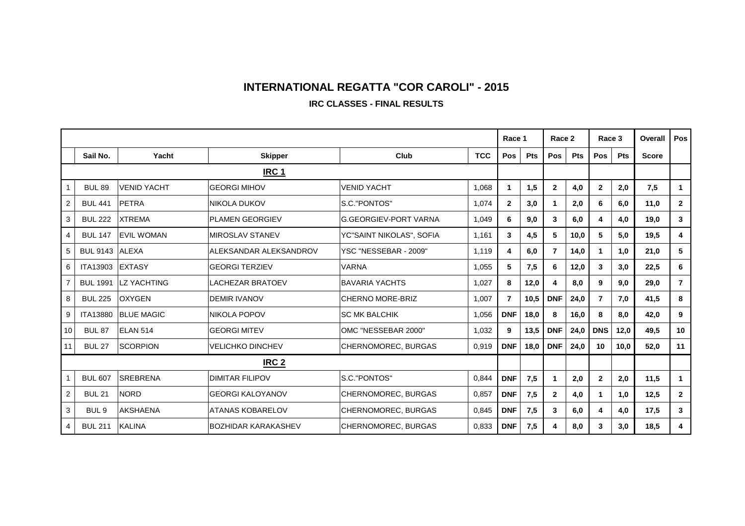#### **IRC CLASSES - FINAL RESULTS**

|                |                  |                     |                            |                              |            |                      | Race 1     |                | Race 2 | Race 3          |            | Overall      | Pos                     |
|----------------|------------------|---------------------|----------------------------|------------------------------|------------|----------------------|------------|----------------|--------|-----------------|------------|--------------|-------------------------|
|                | Sail No.         | Yacht               | <b>Skipper</b>             | Club                         | <b>TCC</b> | Pos                  | <b>Pts</b> | Pos            | Pts    | Pos             | <b>Pts</b> | <b>Score</b> |                         |
|                | IRC <sub>1</sub> |                     |                            |                              |            |                      |            |                |        |                 |            |              |                         |
|                | <b>BUL 89</b>    | <b>VENID YACHT</b>  | <b>GEORGI MIHOV</b>        | <b>VENID YACHT</b>           | 1,068      | $\blacktriangleleft$ | 1,5        | $\overline{2}$ | 4,0    | $\overline{2}$  | 2,0        | 7,5          | $\mathbf 1$             |
| $\overline{2}$ | <b>BUL 441</b>   | <b>PETRA</b>        | INIKOLA DUKOV              | S.C."PONTOS"                 | 1,074      | $\overline{2}$       | 3,0        | 1              | 2,0    | 6               | 6,0        | 11,0         | $\mathbf{2}$            |
| 3              | <b>BUL 222</b>   | <b>XTREMA</b>       | <b>IPLAMEN GEORGIEV</b>    | <b>G.GEORGIEV-PORT VARNA</b> | 1,049      | 6                    | 9,0        | 3              | 6,0    | 4               | 4,0        | 19,0         | $\overline{\mathbf{3}}$ |
| 4              | <b>BUL 147</b>   | <b>EVIL WOMAN</b>   | <b>IMIROSLAV STANEV</b>    | YC"SAINT NIKOLAS", SOFIA     | 1,161      | 3                    | 4,5        | 5              | 10,0   | 5               | 5,0        | 19,5         | $\overline{\mathbf{4}}$ |
| 5              | <b>BUL 9143</b>  | <b>ALEXA</b>        | IALEKSANDAR ALEKSANDROV    | YSC "NESSEBAR - 2009"        | 1,119      | 4                    | 6,0        | $\overline{7}$ | 14,0   |                 | 1.0        | 21,0         | 5                       |
| 6              | <b>ITA13903</b>  | <b>EXTASY</b>       | lGEORGI TERZIEV            | <b>VARNA</b>                 | 1,055      | 5                    | 7,5        | 6              | 12,0   | 3               | 3,0        | 22,5         | 6                       |
| $\overline{7}$ | <b>BUL 1991</b>  | <b>ILZ YACHTING</b> | LACHEZAR BRATOEV           | <b>BAVARIA YACHTS</b>        | 1,027      | 8                    | 12,0       | 4              | 8,0    | 9               | 9,0        | 29,0         | $\overline{7}$          |
| 8              | <b>BUL 225</b>   | <b>OXYGEN</b>       | <b>DEMIR IVANOV</b>        | <b>CHERNO MORE-BRIZ</b>      | 1,007      | $\overline{7}$       | 10,5       | <b>DNF</b>     | 24,0   | $\overline{7}$  | 7.0        | 41,5         | 8                       |
| 9              | <b>ITA13880</b>  | <b>BLUE MAGIC</b>   | NIKOLA POPOV               | <b>SC MK BALCHIK</b>         | 1,056      | <b>DNF</b>           | 18,0       | 8              | 16.0   | 8               | 8.0        | 42.0         | 9                       |
| 10             | <b>BUL 87</b>    | <b>IELAN 514</b>    | <b>GEORGI MITEV</b>        | OMC "NESSEBAR 2000"          | 1,032      | 9                    | 13,5       | <b>DNF</b>     | 24,0   | <b>DNS</b>      | 12,0       | 49.5         | 10                      |
| 11             | <b>BUL 27</b>    | <b>SCORPION</b>     | IVELICHKO DINCHEV          | CHERNOMOREC, BURGAS          | 0,919      | <b>DNF</b>           | 18,0       | <b>DNF</b>     | 24,0   | 10 <sup>°</sup> | 10,0       | 52,0         | 11                      |
|                | IRC <sub>2</sub> |                     |                            |                              |            |                      |            |                |        |                 |            |              |                         |
|                | <b>BUL 607</b>   | <b>SREBRENA</b>     | <b>DIMITAR FILIPOV</b>     | <b>S.C. "PONTOS"</b>         | 0,844      | <b>DNF</b>           | 7,5        | 1              | 2,0    | $\overline{2}$  | 2,0        | 11,5         | 1                       |
| $\overline{2}$ | <b>BUL 21</b>    | <b>NORD</b>         | <b>IGEORGI KALOYANOV</b>   | CHERNOMOREC, BURGAS          | 0,857      | <b>DNF</b>           | 7,5        | $\mathbf{2}$   | 4,0    |                 | 1,0        | 12,5         | $\overline{2}$          |
| 3              | BUL <sub>9</sub> | AKSHAENA            | IATANAS KOBARELOV          | CHERNOMOREC, BURGAS          | 0,845      | <b>DNF</b>           | 7,5        | 3              | 6,0    | 4               | 4,0        | 17,5         | 3                       |
| 4              | <b>BUL 211</b>   | <b>KALINA</b>       | <b>BOZHIDAR KARAKASHEV</b> | CHERNOMOREC, BURGAS          | 0,833      | <b>DNF</b>           | 7,5        | 4              | 8,0    | 3               | 3,0        | 18,5         | $\overline{\mathbf{4}}$ |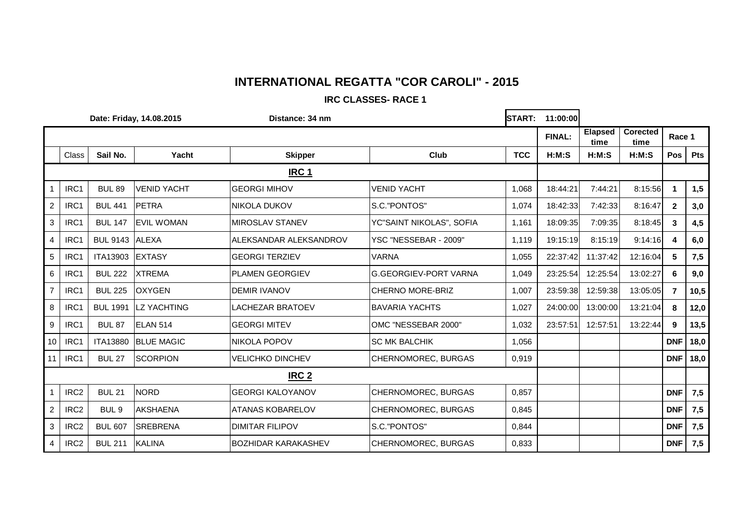#### **IRC CLASSES- RACE 1**

| Date: Friday, 14.08.2015 |                  |                  |                    | Distance: 34 nm            |                              |            | <b>START:</b><br>11:00:00 |                        |                         |              |            |
|--------------------------|------------------|------------------|--------------------|----------------------------|------------------------------|------------|---------------------------|------------------------|-------------------------|--------------|------------|
|                          |                  |                  |                    |                            |                              |            | <b>FINAL:</b>             | <b>Elapsed</b><br>time | <b>Corected</b><br>time | Race 1       |            |
|                          | Class            | Sail No.         | Yacht              | <b>Skipper</b>             | Club                         | <b>TCC</b> | H:M:S                     | H:M:S                  | H:M:S                   | Pos          | <b>Pts</b> |
|                          | <b>IRC 1</b>     |                  |                    |                            |                              |            |                           |                        |                         |              |            |
| $\mathbf{1}$             | IRC1             | <b>BUL 89</b>    | <b>VENID YACHT</b> | <b>GEORGI MIHOV</b>        | <b>VENID YACHT</b>           | 1,068      | 18:44:21                  | 7:44:21                | 8:15:56                 |              | 1,5        |
| $\overline{2}$           | IRC1             | <b>BUL 441</b>   | <b>PETRA</b>       | <b>NIKOLA DUKOV</b>        | S.C."PONTOS"                 | 1,074      | 18:42:33                  | 7:42:33                | 8:16:47                 | $\mathbf{2}$ | 3,0        |
| 3                        | IRC1             | <b>BUL 147</b>   | <b>EVIL WOMAN</b>  | <b>MIROSLAV STANEV</b>     | YC"SAINT NIKOLAS", SOFIA     | 1,161      | 18:09:35                  | 7:09:35                | 8:18:45                 | 3            | 4,5        |
| $\overline{4}$           | IRC1             | BUL 9143 ALEXA   |                    | ALEKSANDAR ALEKSANDROV     | YSC "NESSEBAR - 2009"        | 1,119      | 19:15:19                  | 8:15:19                | 9:14:16                 | 4            | 6,0        |
| 5                        | IRC1             | <b>ITA13903</b>  | <b>EXTASY</b>      | <b>GEORGI TERZIEV</b>      | <b>VARNA</b>                 | 1,055      | 22:37:42                  | 11:37:42               | 12:16:04                | 5            | 7,5        |
| 6                        | IRC1             | <b>BUL 222</b>   | <b>XTREMA</b>      | <b>PLAMEN GEORGIEV</b>     | <b>G.GEORGIEV-PORT VARNA</b> | 1,049      | 23:25:54                  | 12:25:54               | 13:02:27                | 6            | 9,0        |
| $\overline{7}$           | IRC1             | <b>BUL 225</b>   | <b>OXYGEN</b>      | <b>DEMIR IVANOV</b>        | CHERNO MORE-BRIZ             | 1,007      | 23:59:38                  | 12:59:38               | 13:05:05                | 7            | 10,5       |
| 8                        | IRC1             | <b>BUL 1991</b>  | <b>LZ YACHTING</b> | <b>LACHEZAR BRATOEV</b>    | <b>BAVARIA YACHTS</b>        | 1,027      | 24:00:00                  | 13:00:00               | 13:21:04                | 8            | 12,0       |
| 9                        | IRC1             | <b>BUL 87</b>    | <b>ELAN 514</b>    | <b>GEORGI MITEV</b>        | OMC "NESSEBAR 2000"          | 1,032      | 23:57:51                  | 12:57:51               | 13:22:44                | 9            | 13,5       |
| 10                       | IRC1             | <b>ITA13880</b>  | <b>BLUE MAGIC</b>  | <b>NIKOLA POPOV</b>        | <b>SC MK BALCHIK</b>         | 1,056      |                           |                        |                         | <b>DNF</b>   | 18,0       |
| 11                       | IRC1             | <b>BUL 27</b>    | <b>SCORPION</b>    | <b>VELICHKO DINCHEV</b>    | CHERNOMOREC, BURGAS          | 0,919      |                           |                        |                         | <b>DNF</b>   | 18,0       |
|                          | IRC <sub>2</sub> |                  |                    |                            |                              |            |                           |                        |                         |              |            |
| $\mathbf{1}$             | IRC <sub>2</sub> | <b>BUL 21</b>    | <b>NORD</b>        | <b>GEORGI KALOYANOV</b>    | CHERNOMOREC, BURGAS          | 0,857      |                           |                        |                         | <b>DNF</b>   | 7,5        |
| $\overline{2}$           | IRC <sub>2</sub> | BUL <sub>9</sub> | <b>AKSHAENA</b>    | <b>ATANAS KOBARELOV</b>    | CHERNOMOREC, BURGAS          | 0,845      |                           |                        |                         | <b>DNF</b>   | 7,5        |
| 3                        | IRC <sub>2</sub> | <b>BUL 607</b>   | <b>SREBRENA</b>    | <b>DIMITAR FILIPOV</b>     | S.C."PONTOS"                 | 0,844      |                           |                        |                         | <b>DNF</b>   | 7,5        |
| 4                        | IRC <sub>2</sub> | <b>BUL 211</b>   | <b>KALINA</b>      | <b>BOZHIDAR KARAKASHEV</b> | CHERNOMOREC, BURGAS          | 0,833      |                           |                        |                         | <b>DNF</b>   | 7,5        |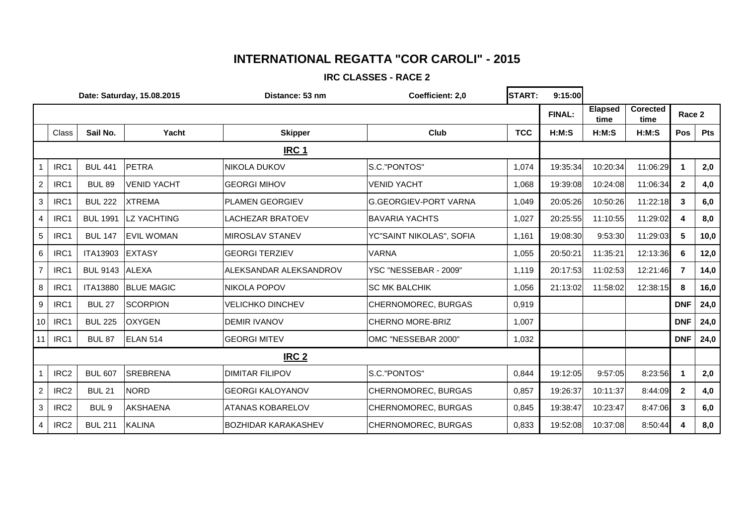#### **IRC CLASSES - RACE 2**

| Date: Saturday, 15.08.2015 |                  |                  |                    | Distance: 53 nm            | Coefficient: 2,0             | <b>START:</b> | 9:15:00       |                        |                         |                |            |
|----------------------------|------------------|------------------|--------------------|----------------------------|------------------------------|---------------|---------------|------------------------|-------------------------|----------------|------------|
|                            |                  |                  |                    |                            |                              |               | <b>FINAL:</b> | <b>Elapsed</b><br>time | <b>Corected</b><br>time | Race 2         |            |
|                            | Class            | Sail No.         | Yacht              | <b>Skipper</b>             | Club                         | <b>TCC</b>    | H:M:S         | H:M:S                  | H:M:S                   | Pos            | <b>Pts</b> |
|                            |                  |                  |                    |                            |                              |               |               |                        |                         |                |            |
|                            | IRC1             | <b>BUL 441</b>   | <b>PETRA</b>       | NIKOLA DUKOV               | S.C."PONTOS"                 | 1,074         | 19:35:34      | 10:20:34               | 11:06:29                |                | 2,0        |
| $\overline{c}$             | IRC1             | <b>BUL 89</b>    | <b>VENID YACHT</b> | <b>GEORGI MIHOV</b>        | <b>VENID YACHT</b>           | 1,068         | 19:39:08      | 10:24:08               | 11:06:34                | $\mathbf{2}$   | 4,0        |
| $\mathbf{3}$               | IRC1             | <b>BUL 222</b>   | <b>XTREMA</b>      | <b>PLAMEN GEORGIEV</b>     | <b>G.GEORGIEV-PORT VARNA</b> | 1,049         | 20:05:26      | 10:50:26               | 11:22:18                | 3              | 6,0        |
| 4                          | IRC1             | <b>BUL 1991</b>  | <b>LZ YACHTING</b> | <b>LACHEZAR BRATOEV</b>    | <b>BAVARIA YACHTS</b>        | 1,027         | 20:25:55      | 11:10:55               | 11:29:02                |                | 8,0        |
| $\sqrt{5}$                 | IRC1             | <b>BUL 147</b>   | <b>EVIL WOMAN</b>  | <b>MIROSLAV STANEV</b>     | YC"SAINT NIKOLAS", SOFIA     | 1,161         | 19:08:30      | 9:53:30                | 11:29:03                | 5              | 10,0       |
| 6                          | IRC1             | ITA13903         | <b>EXTASY</b>      | <b>GEORGI TERZIEV</b>      | <b>VARNA</b>                 | 1,055         | 20:50:21      | 11:35:21               | 12:13:36                | 6              | 12,0       |
| $\overline{7}$             | IRC1             | BUL 9143 ALEXA   |                    | ALEKSANDAR ALEKSANDROV     | YSC "NESSEBAR - 2009"        | 1,119         | 20:17:53      | 11:02:53               | 12:21:46                | 7              | 14,0       |
| $\, 8$                     | IRC1             | <b>ITA13880</b>  | <b>BLUE MAGIC</b>  | <b>NIKOLA POPOV</b>        | <b>SC MK BALCHIK</b>         | 1,056         | 21:13:02      | 11:58:02               | 12:38:15                | 8              | 16,0       |
| 9                          | IRC1             | <b>BUL 27</b>    | <b>SCORPION</b>    | <b>VELICHKO DINCHEV</b>    | CHERNOMOREC, BURGAS          | 0,919         |               |                        |                         | <b>DNF</b>     | 24,0       |
| 10                         | IRC1             | <b>BUL 225</b>   | <b>OXYGEN</b>      | <b>DEMIR IVANOV</b>        | <b>CHERNO MORE-BRIZ</b>      | 1,007         |               |                        |                         | <b>DNF</b>     | 24,0       |
| 11                         | IRC1             | <b>BUL 87</b>    | ELAN 514           | <b>GEORGI MITEV</b>        | OMC "NESSEBAR 2000"          | 1,032         |               |                        |                         | <b>DNF</b>     | 24,0       |
|                            |                  |                  |                    |                            |                              |               |               |                        |                         |                |            |
| 1                          | IRC <sub>2</sub> | <b>BUL 607</b>   | <b>SREBRENA</b>    | <b>DIMITAR FILIPOV</b>     | S.C."PONTOS"                 | 0,844         | 19:12:05      | 9:57:05                | 8:23:56                 |                | 2,0        |
| $\overline{2}$             | IRC <sub>2</sub> | <b>BUL 21</b>    | <b>NORD</b>        | <b>GEORGI KALOYANOV</b>    | CHERNOMOREC, BURGAS          | 0,857         | 19:26:37      | 10:11:37               | 8:44:09                 | $\overline{2}$ | 4,0        |
| $\mathbf{3}$               | IRC <sub>2</sub> | BUL <sub>9</sub> | <b>AKSHAENA</b>    | <b>ATANAS KOBARELOV</b>    | CHERNOMOREC, BURGAS          | 0,845         | 19:38:47      | 10:23:47               | 8:47:06                 | 3              | 6,0        |
| $\overline{4}$             | IRC <sub>2</sub> | <b>BUL 211</b>   | <b>KALINA</b>      | <b>BOZHIDAR KARAKASHEV</b> | CHERNOMOREC, BURGAS          | 0,833         | 19:52:08      | 10:37:08               | 8:50:44                 |                | 8,0        |